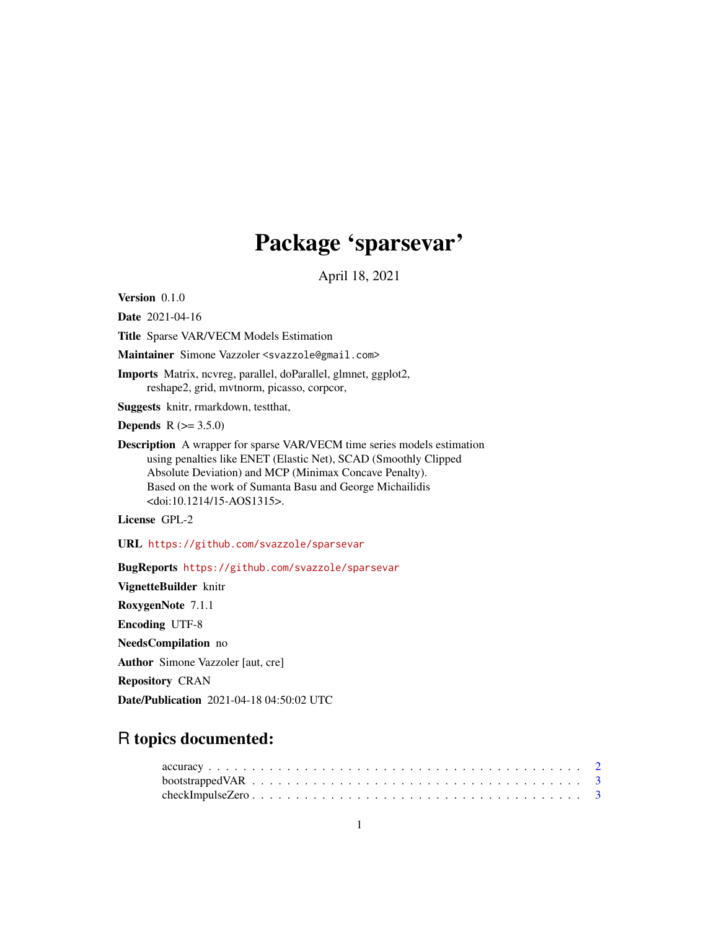# Package 'sparsevar'

April 18, 2021

Version 0.1.0

Date 2021-04-16

Title Sparse VAR/VECM Models Estimation

Maintainer Simone Vazzoler <svazzole@gmail.com>

Imports Matrix, ncvreg, parallel, doParallel, glmnet, ggplot2, reshape2, grid, mvtnorm, picasso, corpcor,

Suggests knitr, rmarkdown, testthat,

**Depends** R  $(>= 3.5.0)$ 

Description A wrapper for sparse VAR/VECM time series models estimation using penalties like ENET (Elastic Net), SCAD (Smoothly Clipped Absolute Deviation) and MCP (Minimax Concave Penalty). Based on the work of Sumanta Basu and George Michailidis <doi:10.1214/15-AOS1315>.

License GPL-2

URL <https://github.com/svazzole/sparsevar>

BugReports <https://github.com/svazzole/sparsevar>

VignetteBuilder knitr RoxygenNote 7.1.1 Encoding UTF-8 NeedsCompilation no Author Simone Vazzoler [aut, cre] Repository CRAN

Date/Publication 2021-04-18 04:50:02 UTC

## R topics documented: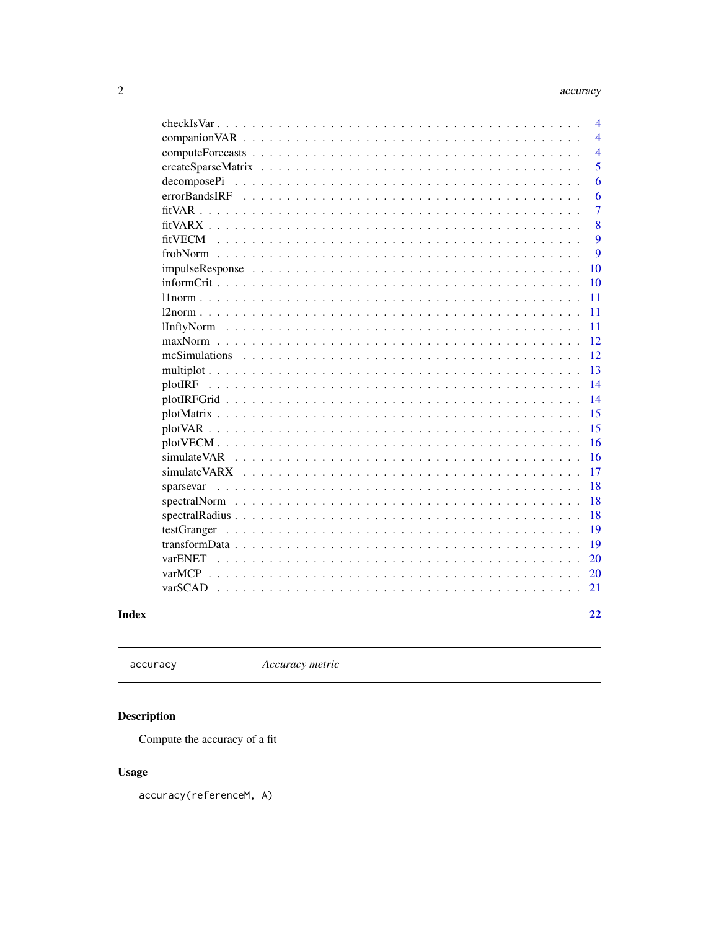<span id="page-1-0"></span>

|                                                                                                                                  | $\overline{\mathcal{A}}$ |
|----------------------------------------------------------------------------------------------------------------------------------|--------------------------|
|                                                                                                                                  | $\overline{4}$           |
|                                                                                                                                  | $\overline{4}$           |
|                                                                                                                                  | 5                        |
| $decompose Pi \dots \dots \dots \dots \dots \dots \dots \dots \dots \dots \dots \dots \dots \dots \dots \dots$                   | 6                        |
|                                                                                                                                  | 6                        |
|                                                                                                                                  | $\overline{7}$           |
|                                                                                                                                  | 8                        |
| fitVECM<br>$\mathbf{r}$ , $\mathbf{r}$ , $\mathbf{r}$ , $\mathbf{r}$ , $\mathbf{r}$ , $\mathbf{r}$ , $\mathbf{r}$ , $\mathbf{r}$ | 9                        |
|                                                                                                                                  | 9                        |
| impulseResponse                                                                                                                  | 10                       |
| $informCrit$<br>$\ddot{\phantom{0}}$<br>.<br>$\ddot{\phantom{a}}$<br>$\ddot{\phantom{a}}$                                        | 10                       |
| $\ddot{\phantom{a}}$                                                                                                             | 11                       |
|                                                                                                                                  | 11                       |
|                                                                                                                                  | 11                       |
|                                                                                                                                  | 12                       |
| mcSimulations                                                                                                                    | 12                       |
|                                                                                                                                  | 13                       |
| plotIRF                                                                                                                          | 14                       |
|                                                                                                                                  | 14                       |
|                                                                                                                                  | 15                       |
|                                                                                                                                  | 15                       |
| and a straight and                                                                                                               | 16                       |
|                                                                                                                                  | 16                       |
| simulateVARX<br>$\mathbf{r}$ , $\mathbf{r}$ , $\mathbf{r}$ , $\mathbf{r}$ , $\mathbf{r}$ , $\mathbf{r}$<br>$\sim$ $\sim$         | 17                       |
| sparsevar<br>$\ddot{\phantom{a}}$<br>$\ddot{\phantom{a}}$<br>$\ddot{\phantom{a}}$                                                | 18                       |
|                                                                                                                                  | 18                       |
|                                                                                                                                  | 18                       |
|                                                                                                                                  | 19                       |
|                                                                                                                                  | 19                       |
|                                                                                                                                  | 20                       |
|                                                                                                                                  | 20                       |
| varSCAD                                                                                                                          | 21                       |
|                                                                                                                                  |                          |
|                                                                                                                                  | 22                       |

## **Index**

```
accuracy
```
Accuracy metric

## Description

Compute the accuracy of a fit

## **Usage**

accuracy(referenceM, A)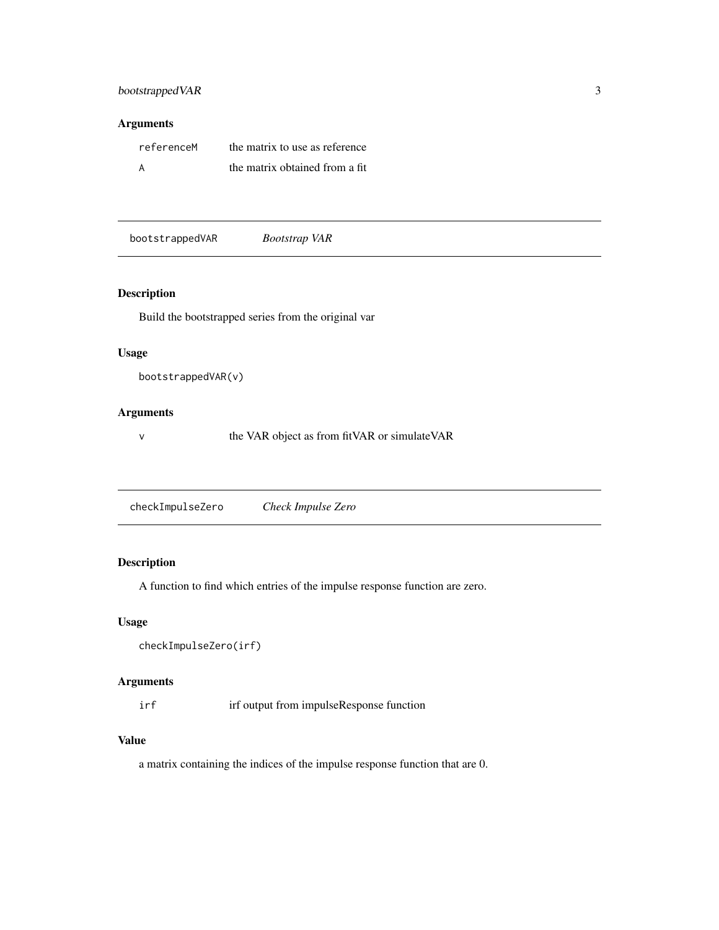## <span id="page-2-0"></span>bootstrapped VAR 3

#### Arguments

| referenceM | the matrix to use as reference |
|------------|--------------------------------|
|            | the matrix obtained from a fit |

bootstrappedVAR *Bootstrap VAR*

#### Description

Build the bootstrapped series from the original var

#### Usage

```
bootstrappedVAR(v)
```
#### Arguments

v the VAR object as from fitVAR or simulateVAR

| checkImpulseZero | Check Impulse Zero |  |
|------------------|--------------------|--|
|------------------|--------------------|--|

#### Description

A function to find which entries of the impulse response function are zero.

#### Usage

```
checkImpulseZero(irf)
```
#### Arguments

irf irf output from impulseResponse function

#### Value

a matrix containing the indices of the impulse response function that are 0.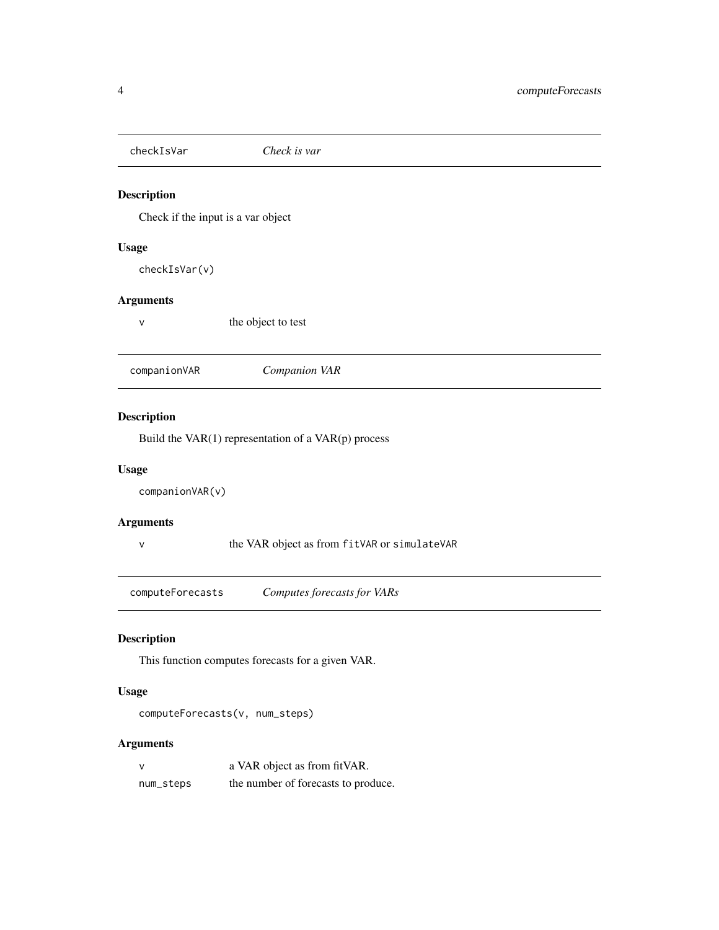<span id="page-3-0"></span>checkIsVar *Check is var*

#### Description

Check if the input is a var object

#### Usage

checkIsVar(v)

## Arguments

v the object to test

companionVAR *Companion VAR*

#### Description

Build the VAR(1) representation of a VAR(p) process

#### Usage

companionVAR(v)

#### Arguments

v the VAR object as from fitVAR or simulateVAR

computeForecasts *Computes forecasts for VARs*

#### Description

This function computes forecasts for a given VAR.

#### Usage

computeForecasts(v, num\_steps)

|           | a VAR object as from fit VAR.       |
|-----------|-------------------------------------|
| num_steps | the number of forecasts to produce. |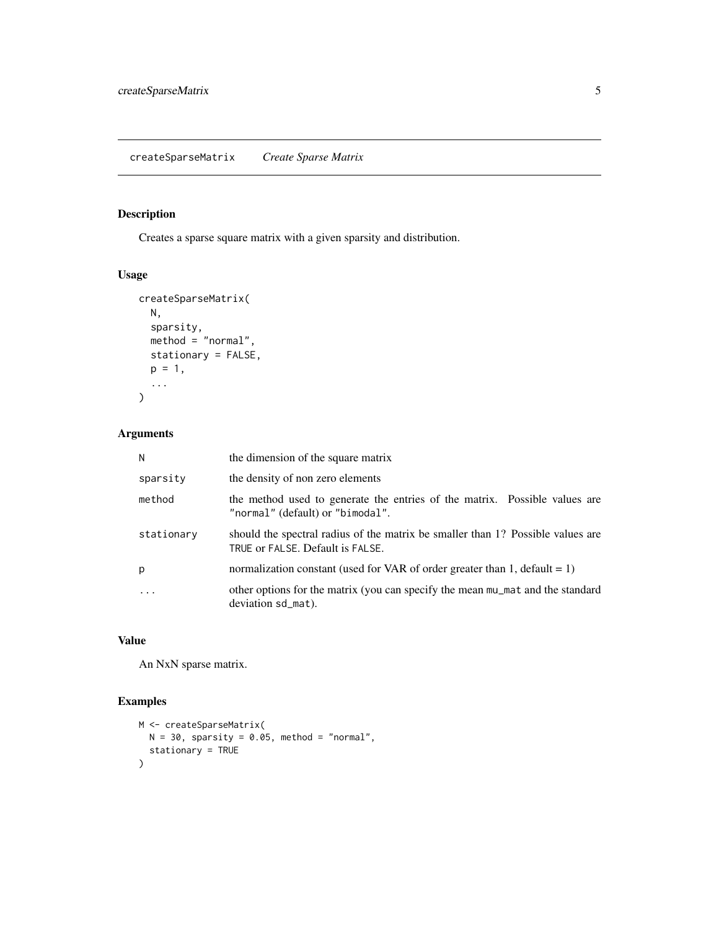<span id="page-4-0"></span>Creates a sparse square matrix with a given sparsity and distribution.

#### Usage

```
createSparseMatrix(
  N,
  sparsity,
  method = "normal",
  stationary = FALSE,
  p = 1,
  ...
)
```
#### Arguments

| N          | the dimension of the square matrix                                                                                  |
|------------|---------------------------------------------------------------------------------------------------------------------|
| sparsity   | the density of non zero elements                                                                                    |
| method     | the method used to generate the entries of the matrix. Possible values are<br>"normal" (default) or "bimodal".      |
| stationary | should the spectral radius of the matrix be smaller than 1? Possible values are<br>TRUE or FALSE. Default is FALSE. |
| p          | normalization constant (used for VAR of order greater than 1, default = 1)                                          |
| $\ddotsc$  | other options for the matrix (you can specify the mean mu_mat and the standard<br>deviation sd_mat).                |

#### Value

An NxN sparse matrix.

### Examples

```
M <- createSparseMatrix(
  N = 30, sparsity = 0.05, method = "normal",
  stationary = TRUE
\mathcal{L}
```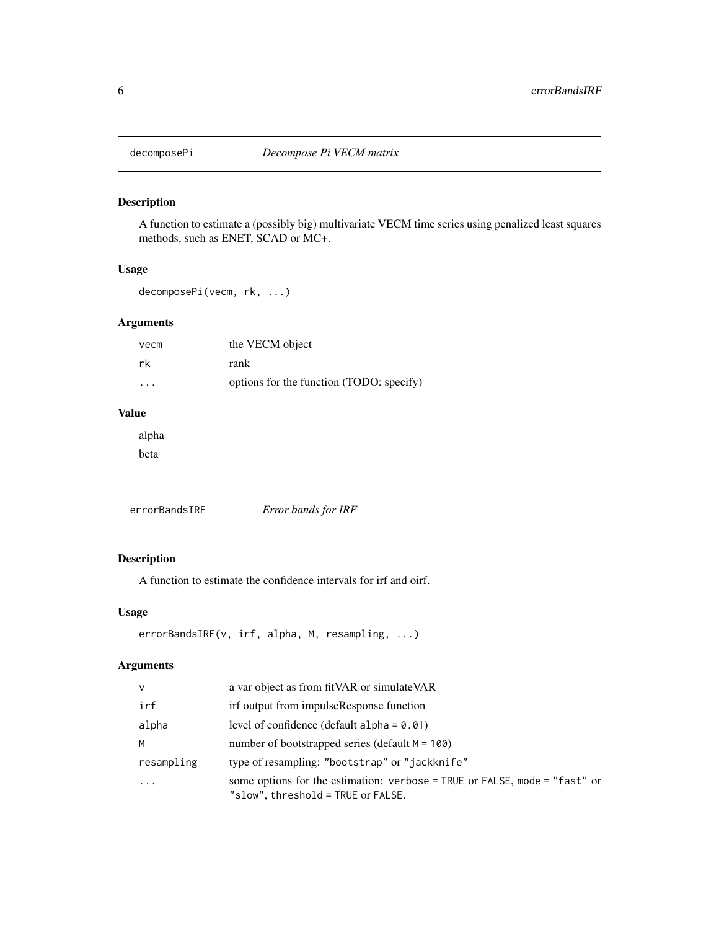<span id="page-5-0"></span>

A function to estimate a (possibly big) multivariate VECM time series using penalized least squares methods, such as ENET, SCAD or MC+.

#### Usage

decomposePi(vecm, rk, ...)

## Arguments

| vecm                    | the VECM object                          |
|-------------------------|------------------------------------------|
| rk                      | rank                                     |
| $\cdot$ $\cdot$ $\cdot$ | options for the function (TODO: specify) |

## Value

alpha

beta

| errorBandsIRF | Error bands for IRF |  |
|---------------|---------------------|--|
|               |                     |  |

#### Description

A function to estimate the confidence intervals for irf and oirf.

#### Usage

```
errorBandsIRF(v, irf, alpha, M, resampling, ...)
```

| $\mathsf{v}$ | a var object as from fit VAR or simulate VAR                                                                     |
|--------------|------------------------------------------------------------------------------------------------------------------|
| irf          | irf output from impulseResponse function                                                                         |
| alpha        | level of confidence (default alpha = $0.01$ )                                                                    |
| M            | number of bootstrapped series (default $M = 100$ )                                                               |
| resampling   | type of resampling: "bootstrap" or "jackknife"                                                                   |
| $\ddotsc$    | some options for the estimation: verbose = TRUE or FALSE, mode = "fast" or<br>"slow", threshold = TRUE or FALSE. |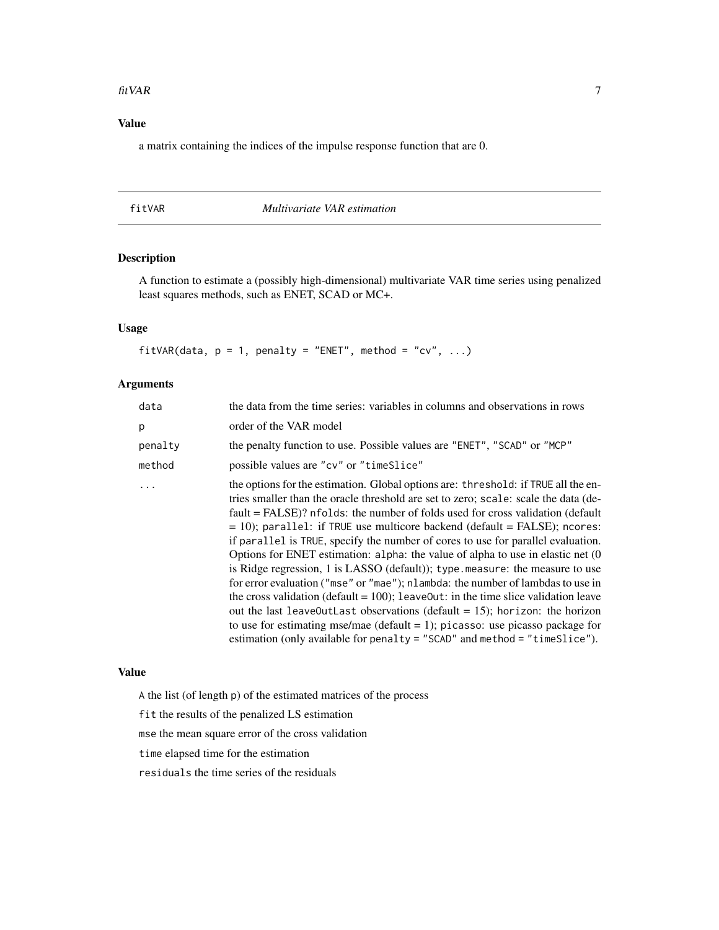#### <span id="page-6-0"></span>fitVAR 7

### Value

a matrix containing the indices of the impulse response function that are 0.

#### fitVAR *Multivariate VAR estimation*

## Description

A function to estimate a (possibly high-dimensional) multivariate VAR time series using penalized least squares methods, such as ENET, SCAD or MC+.

#### Usage

fitVAR(data,  $p = 1$ , penalty = "ENET", method = "cv", ...)

#### Arguments

| data    | the data from the time series: variables in columns and observations in rows                                                                                                                                                                                                                                                                                                                                                                                                                                                                                                                                                                                                                                                                                                                                                                                                                                                                                                                                                     |
|---------|----------------------------------------------------------------------------------------------------------------------------------------------------------------------------------------------------------------------------------------------------------------------------------------------------------------------------------------------------------------------------------------------------------------------------------------------------------------------------------------------------------------------------------------------------------------------------------------------------------------------------------------------------------------------------------------------------------------------------------------------------------------------------------------------------------------------------------------------------------------------------------------------------------------------------------------------------------------------------------------------------------------------------------|
| p       | order of the VAR model                                                                                                                                                                                                                                                                                                                                                                                                                                                                                                                                                                                                                                                                                                                                                                                                                                                                                                                                                                                                           |
| penalty | the penalty function to use. Possible values are "ENET", "SCAD" or "MCP"                                                                                                                                                                                                                                                                                                                                                                                                                                                                                                                                                                                                                                                                                                                                                                                                                                                                                                                                                         |
| method  | possible values are "cv" or "timeSlice"                                                                                                                                                                                                                                                                                                                                                                                                                                                                                                                                                                                                                                                                                                                                                                                                                                                                                                                                                                                          |
|         | the options for the estimation. Global options are: threshold: if TRUE all the en-<br>tries smaller than the oracle threshold are set to zero; scale: scale the data (de-<br>fault = FALSE)? nfolds: the number of folds used for cross validation (default<br>$=$ 10); parallel: if TRUE use multicore backend (default = FALSE); ncores:<br>if parallel is TRUE, specify the number of cores to use for parallel evaluation.<br>Options for ENET estimation: alpha: the value of alpha to use in elastic net (0)<br>is Ridge regression, 1 is LASSO (default)); type measure: the measure to use<br>for error evaluation ("mse" or "mae"); nlambda: the number of lambdas to use in<br>the cross validation (default = $100$ ); leave0ut: in the time slice validation leave<br>out the last leave0utLast observations (default = 15); horizon: the horizon<br>to use for estimating mse/mae (default = 1); picasso: use picasso package for<br>estimation (only available for penalty $=$ "SCAD" and method $=$ "timeslice"). |

#### Value

A the list (of length p) of the estimated matrices of the process

fit the results of the penalized LS estimation

mse the mean square error of the cross validation

time elapsed time for the estimation

residuals the time series of the residuals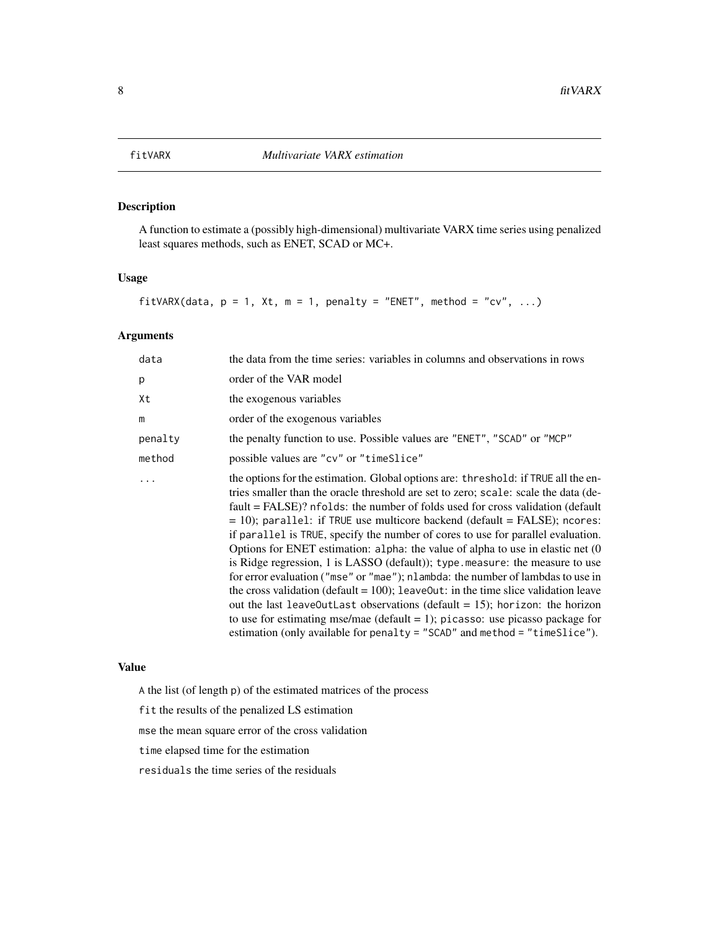<span id="page-7-0"></span>

A function to estimate a (possibly high-dimensional) multivariate VARX time series using penalized least squares methods, such as ENET, SCAD or MC+.

#### Usage

fitVARX(data,  $p = 1$ , Xt,  $m = 1$ , penalty = "ENET", method = "cv", ...)

#### Arguments

| data    | the data from the time series: variables in columns and observations in rows                                                                                                                                                                                                                                                                                                                                                                                                                                                                                                                                                                                                                                                                                                                                                                                                                                                                                                                                                 |
|---------|------------------------------------------------------------------------------------------------------------------------------------------------------------------------------------------------------------------------------------------------------------------------------------------------------------------------------------------------------------------------------------------------------------------------------------------------------------------------------------------------------------------------------------------------------------------------------------------------------------------------------------------------------------------------------------------------------------------------------------------------------------------------------------------------------------------------------------------------------------------------------------------------------------------------------------------------------------------------------------------------------------------------------|
| p       | order of the VAR model                                                                                                                                                                                                                                                                                                                                                                                                                                                                                                                                                                                                                                                                                                                                                                                                                                                                                                                                                                                                       |
| Xt      | the exogenous variables                                                                                                                                                                                                                                                                                                                                                                                                                                                                                                                                                                                                                                                                                                                                                                                                                                                                                                                                                                                                      |
| m       | order of the exogenous variables                                                                                                                                                                                                                                                                                                                                                                                                                                                                                                                                                                                                                                                                                                                                                                                                                                                                                                                                                                                             |
| penalty | the penalty function to use. Possible values are "ENET", "SCAD" or "MCP"                                                                                                                                                                                                                                                                                                                                                                                                                                                                                                                                                                                                                                                                                                                                                                                                                                                                                                                                                     |
| method  | possible values are "cv" or "timeSlice"                                                                                                                                                                                                                                                                                                                                                                                                                                                                                                                                                                                                                                                                                                                                                                                                                                                                                                                                                                                      |
|         | the options for the estimation. Global options are: threshold: if TRUE all the en-<br>tries smaller than the oracle threshold are set to zero; scale: scale the data (de-<br>fault = FALSE)? nfolds: the number of folds used for cross validation (default<br>$=$ 10); parallel: if TRUE use multicore backend (default = FALSE); ncores:<br>if parallel is TRUE, specify the number of cores to use for parallel evaluation.<br>Options for ENET estimation: alpha: the value of alpha to use in elastic net (0)<br>is Ridge regression, 1 is LASSO (default)); type measure: the measure to use<br>for error evaluation ("mse" or "mae"); nlambda: the number of lambdas to use in<br>the cross validation (default = $100$ ); leave0ut: in the time slice validation leave<br>out the last leave0utLast observations (default = 15); horizon: the horizon<br>to use for estimating mse/mae (default = 1); picasso: use picasso package for<br>estimation (only available for penalty = "SCAD" and method = "timeSlice"). |

#### Value

A the list (of length p) of the estimated matrices of the process

fit the results of the penalized LS estimation

mse the mean square error of the cross validation

time elapsed time for the estimation

residuals the time series of the residuals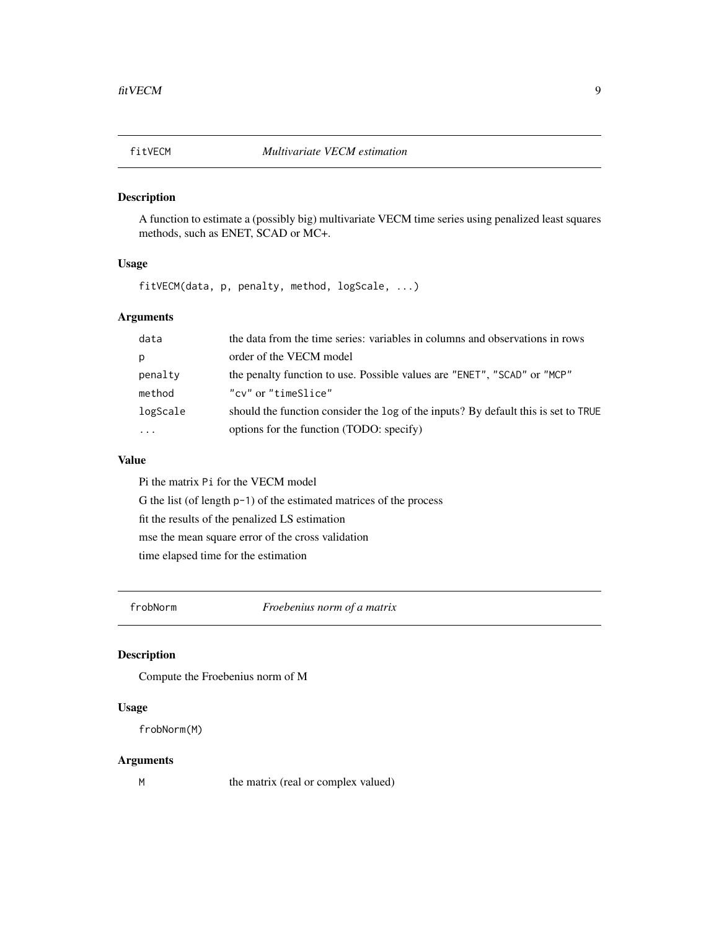<span id="page-8-0"></span>

A function to estimate a (possibly big) multivariate VECM time series using penalized least squares methods, such as ENET, SCAD or MC+.

#### Usage

fitVECM(data, p, penalty, method, logScale, ...)

## Arguments

| data      | the data from the time series: variables in columns and observations in rows       |
|-----------|------------------------------------------------------------------------------------|
| p         | order of the VECM model                                                            |
| penalty   | the penalty function to use. Possible values are "ENET", "SCAD" or "MCP"           |
| method    | "cy" or "timeSlice"                                                                |
| logScale  | should the function consider the log of the inputs? By default this is set to TRUE |
| $\ddotsc$ | options for the function (TODO: specify)                                           |
|           |                                                                                    |

#### Value

Pi the matrix Pi for the VECM model G the list (of length p-1) of the estimated matrices of the process fit the results of the penalized LS estimation mse the mean square error of the cross validation time elapsed time for the estimation

frobNorm *Froebenius norm of a matrix*

#### Description

Compute the Froebenius norm of M

#### Usage

frobNorm(M)

#### Arguments

M the matrix (real or complex valued)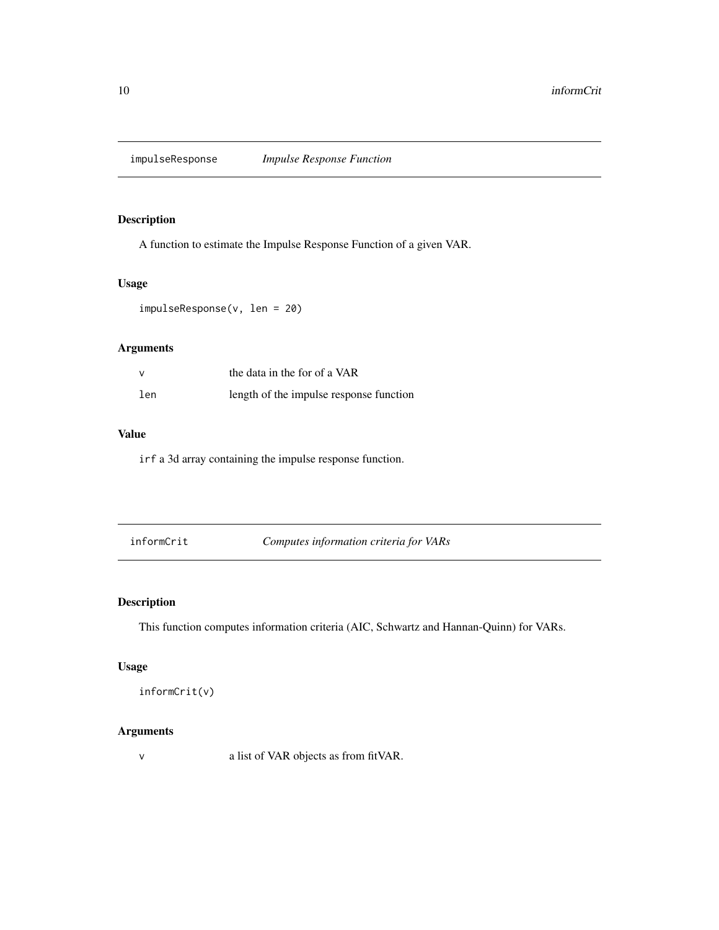<span id="page-9-0"></span>

A function to estimate the Impulse Response Function of a given VAR.

## Usage

impulseResponse(v, len = 20)

## Arguments

| $\mathsf{v}$ | the data in the for of a VAR            |  |
|--------------|-----------------------------------------|--|
| len          | length of the impulse response function |  |

### Value

irf a 3d array containing the impulse response function.

informCrit *Computes information criteria for VARs*

## Description

This function computes information criteria (AIC, Schwartz and Hannan-Quinn) for VARs.

#### Usage

informCrit(v)

#### Arguments

v a list of VAR objects as from fitVAR.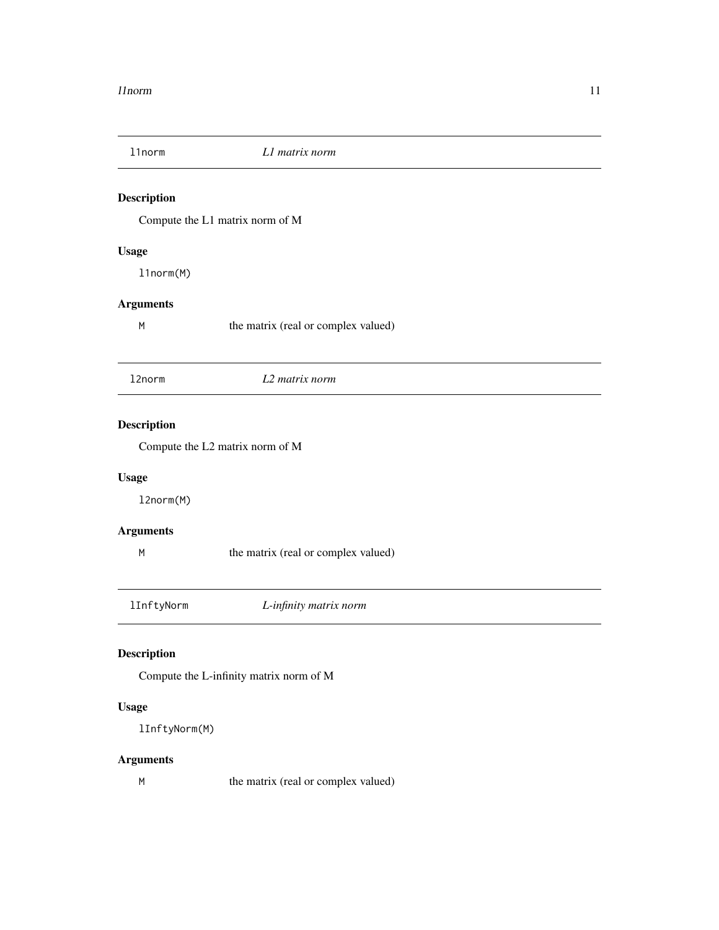<span id="page-10-0"></span>

Compute the L1 matrix norm of M

#### Usage

l1norm(M)

## Arguments

M the matrix (real or complex valued)

| 12norm | L2 matrix norm |  |
|--------|----------------|--|
|--------|----------------|--|

## Description

Compute the L2 matrix norm of M

#### Usage

l2norm(M)

## Arguments

M the matrix (real or complex valued)

lInftyNorm *L-infinity matrix norm*

#### Description

Compute the L-infinity matrix norm of M

#### Usage

lInftyNorm(M)

#### Arguments

M the matrix (real or complex valued)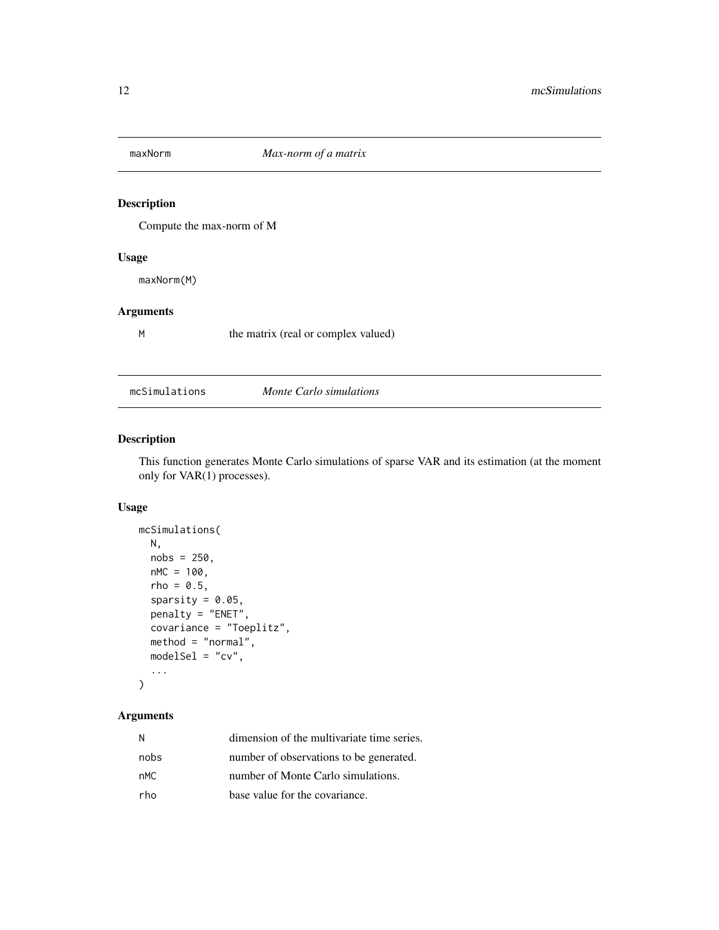<span id="page-11-0"></span>

Compute the max-norm of M

#### Usage

maxNorm(M)

#### Arguments

M the matrix (real or complex valued)

mcSimulations *Monte Carlo simulations*

## Description

This function generates Monte Carlo simulations of sparse VAR and its estimation (at the moment only for VAR(1) processes).

#### Usage

```
mcSimulations(
 N,
 nobs = 250,
 nMC = 100,
  rho = 0.5,
  sparsity = 0.05,
 penalty = "ENET",
  covariance = "Toeplitz",
 method = "normal",
 modelSel = "cv",...
)
```

| N    | dimension of the multivariate time series. |
|------|--------------------------------------------|
| nobs | number of observations to be generated.    |
| nMC. | number of Monte Carlo simulations.         |
| rho  | base value for the covariance.             |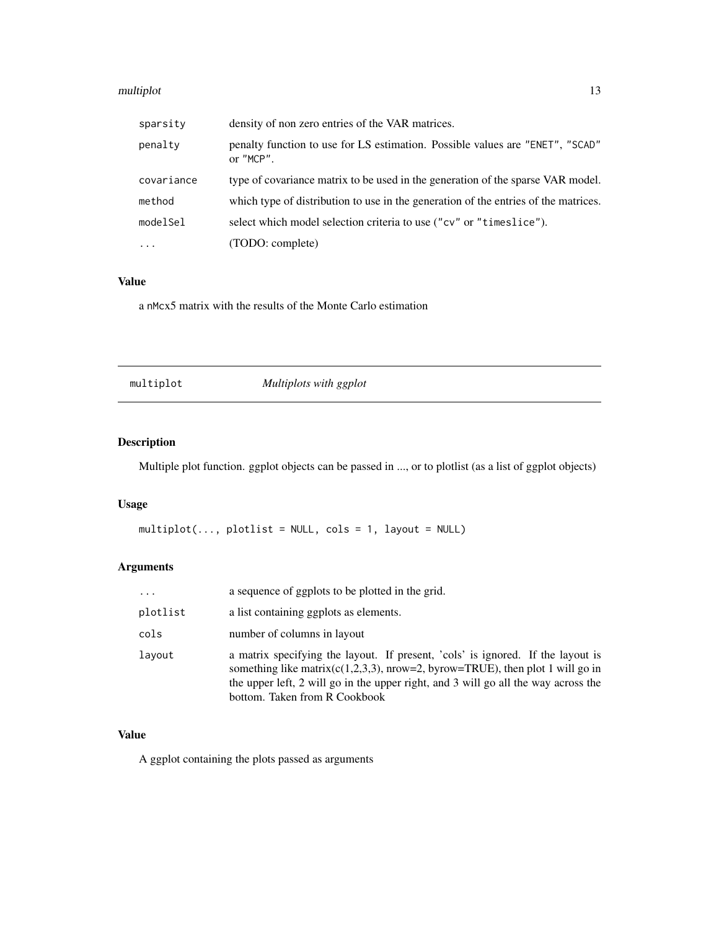#### <span id="page-12-0"></span>multiplot that the contract of the contract of the contract of the contract of the contract of the contract of the contract of the contract of the contract of the contract of the contract of the contract of the contract of

| sparsity   | density of non zero entries of the VAR matrices.                                           |
|------------|--------------------------------------------------------------------------------------------|
| penalty    | penalty function to use for LS estimation. Possible values are "ENET", "SCAD"<br>or "MCP". |
| covariance | type of covariance matrix to be used in the generation of the sparse VAR model.            |
| method     | which type of distribution to use in the generation of the entries of the matrices.        |
| modelSel   | select which model selection criteria to use ("cv" or "timeslice").                        |
| $\ddots$   | (TODO: complete)                                                                           |

#### Value

a nMcx5 matrix with the results of the Monte Carlo estimation

multiplot *Multiplots with ggplot*

## Description

Multiple plot function. ggplot objects can be passed in ..., or to plotlist (as a list of ggplot objects)

## Usage

 $multiplot(..., plotlist = NULL, cols = 1, layout = NULL)$ 

## Arguments

| $\cdots$ | a sequence of ggplots to be plotted in the grid.                                                                                                                                                                                                                                            |
|----------|---------------------------------------------------------------------------------------------------------------------------------------------------------------------------------------------------------------------------------------------------------------------------------------------|
| plotlist | a list containing ggplots as elements.                                                                                                                                                                                                                                                      |
| cols     | number of columns in layout                                                                                                                                                                                                                                                                 |
| lavout   | a matrix specifying the layout. If present, 'cols' is ignored. If the layout is<br>something like matrix( $c(1,2,3,3)$ , nrow=2, byrow=TRUE), then plot 1 will go in<br>the upper left, 2 will go in the upper right, and 3 will go all the way across the<br>bottom. Taken from R Cookbook |

#### Value

A ggplot containing the plots passed as arguments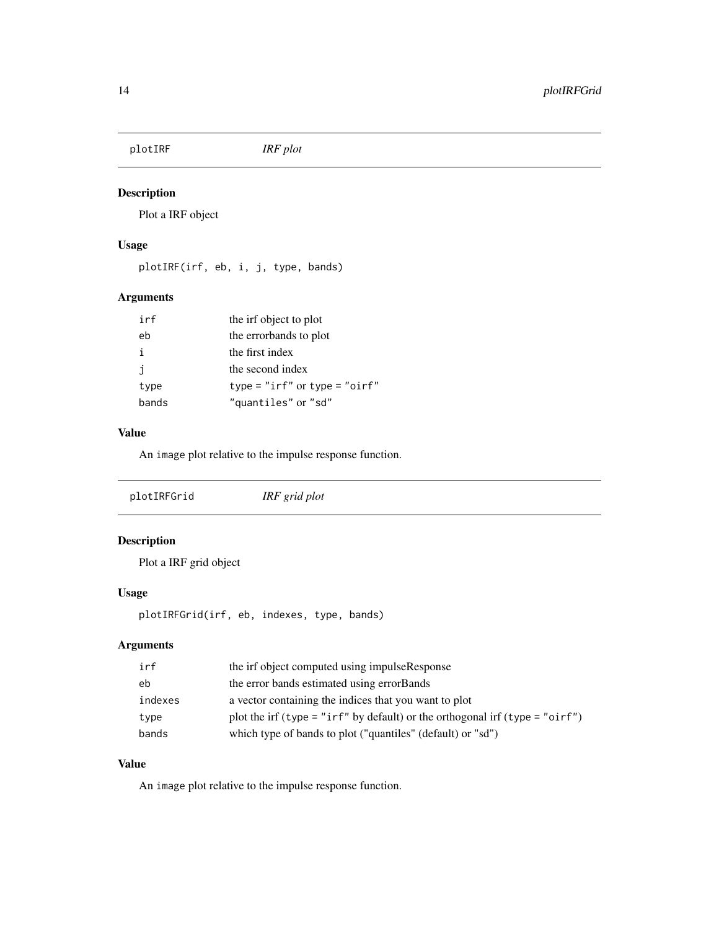<span id="page-13-0"></span>plotIRF *IRF plot*

#### Description

Plot a IRF object

#### Usage

plotIRF(irf, eb, i, j, type, bands)

## Arguments

| irf   | the irf object to plot        |
|-------|-------------------------------|
| eb    | the errorbands to plot        |
| j.    | the first index               |
| j.    | the second index              |
| type  | type = "irf" or type = "oirf" |
| bands | "quantiles" or "sd"           |

## Value

An image plot relative to the impulse response function.

## Description

Plot a IRF grid object

#### Usage

plotIRFGrid(irf, eb, indexes, type, bands)

#### Arguments

| irf     | the irf object computed using impulseResponse                                |
|---------|------------------------------------------------------------------------------|
| eb      | the error bands estimated using error Bands                                  |
| indexes | a vector containing the indices that you want to plot                        |
| type    | plot the irf (type = "irf" by default) or the orthogonal irf (type = "oirf") |
| bands   | which type of bands to plot ("quantiles" (default) or "sd")                  |

## Value

An image plot relative to the impulse response function.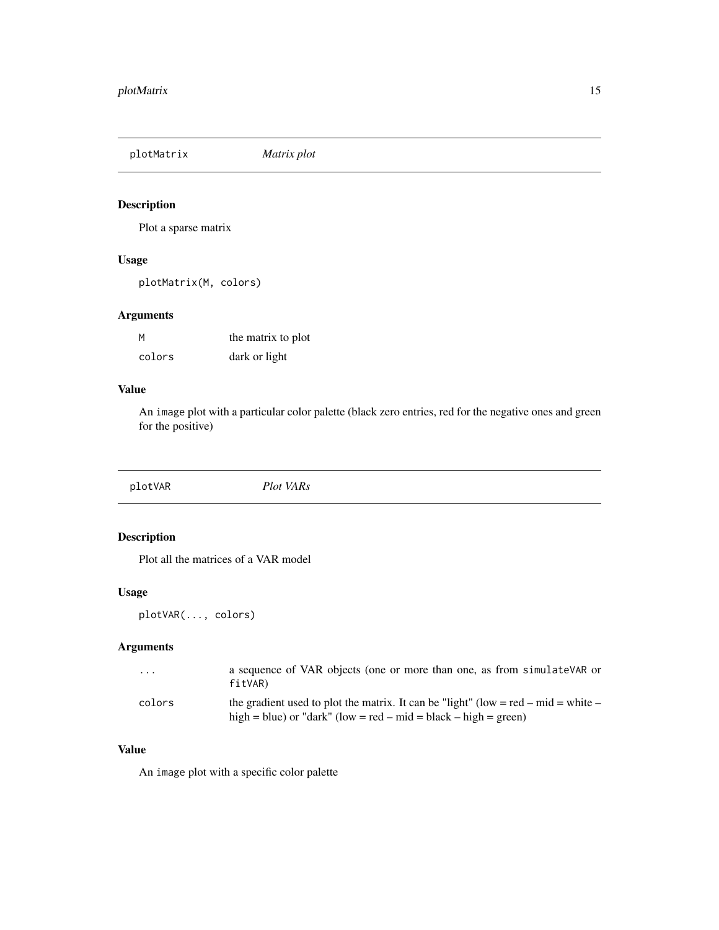<span id="page-14-0"></span>plotMatrix *Matrix plot*

#### Description

Plot a sparse matrix

#### Usage

plotMatrix(M, colors)

#### Arguments

| M      | the matrix to plot |
|--------|--------------------|
| colors | dark or light      |

#### Value

An image plot with a particular color palette (black zero entries, red for the negative ones and green for the positive)

plotVAR *Plot VARs*

## Description

Plot all the matrices of a VAR model

#### Usage

plotVAR(..., colors)

## Arguments

| $\cdot$ $\cdot$ $\cdot$ | a sequence of VAR objects (one or more than one, as from simulateVAR or<br>fitVAR)                                                                    |
|-------------------------|-------------------------------------------------------------------------------------------------------------------------------------------------------|
| colors                  | the gradient used to plot the matrix. It can be "light" (low = red – mid = white –<br>high = blue) or "dark" (low = red – mid = black – high = green) |

## Value

An image plot with a specific color palette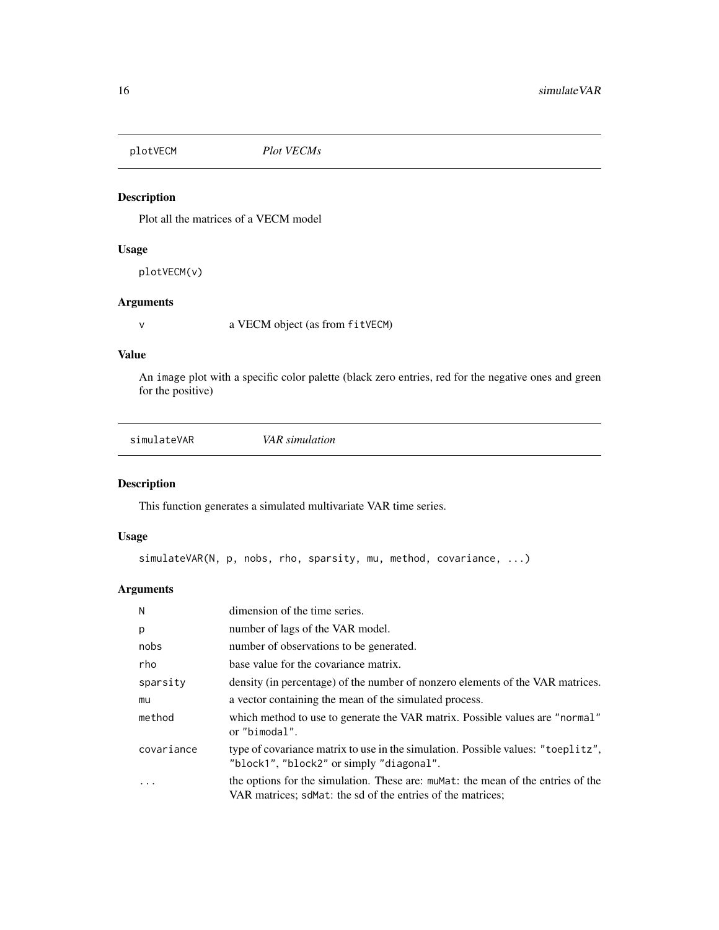<span id="page-15-0"></span>

Plot all the matrices of a VECM model

#### Usage

plotVECM(v)

## Arguments

v a VECM object (as from fitVECM)

#### Value

An image plot with a specific color palette (black zero entries, red for the negative ones and green for the positive)

| VAR simulation |  |
|----------------|--|
|                |  |

## Description

This function generates a simulated multivariate VAR time series.

#### Usage

```
simulateVAR(N, p, nobs, rho, sparsity, mu, method, covariance, ...)
```

| N          | dimension of the time series.                                                                                                                   |
|------------|-------------------------------------------------------------------------------------------------------------------------------------------------|
| p          | number of lags of the VAR model.                                                                                                                |
| nobs       | number of observations to be generated.                                                                                                         |
| rho        | base value for the covariance matrix.                                                                                                           |
| sparsity   | density (in percentage) of the number of nonzero elements of the VAR matrices.                                                                  |
| mu         | a vector containing the mean of the simulated process.                                                                                          |
| method     | which method to use to generate the VAR matrix. Possible values are "normal"<br>or "bimodal".                                                   |
| covariance | type of covariance matrix to use in the simulation. Possible values: "toeplitz",<br>"block1", "block2" or simply "diagonal".                    |
|            | the options for the simulation. These are: mumber the mean of the entries of the<br>VAR matrices; sdMat: the sd of the entries of the matrices; |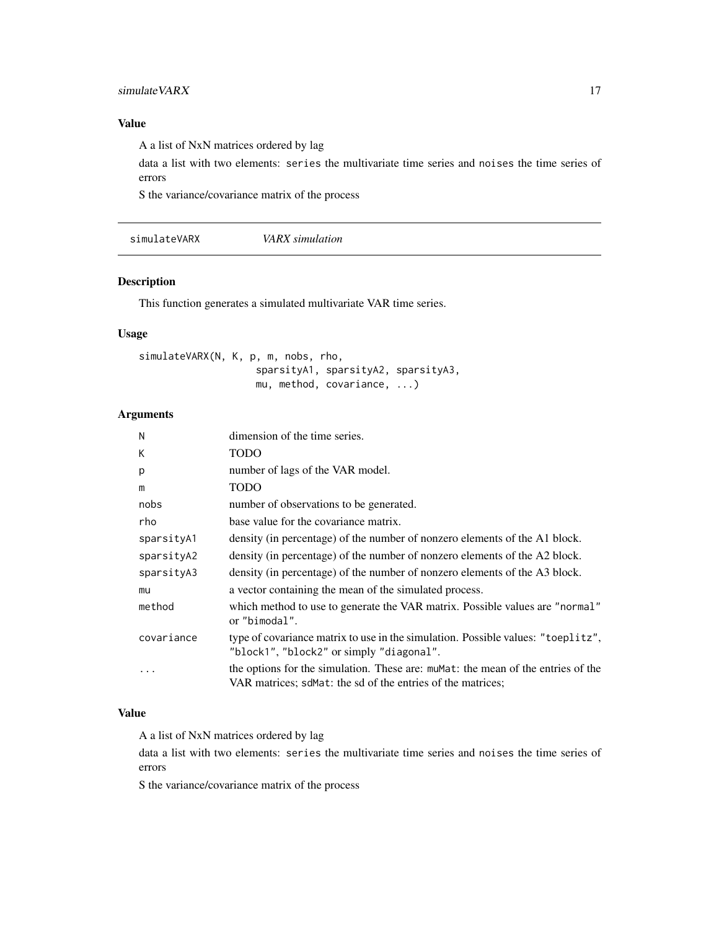#### <span id="page-16-0"></span>simulate VARX 17

### Value

A a list of NxN matrices ordered by lag

data a list with two elements: series the multivariate time series and noises the time series of errors

S the variance/covariance matrix of the process

simulateVARX *VARX simulation*

#### Description

This function generates a simulated multivariate VAR time series.

#### Usage

```
simulateVARX(N, K, p, m, nobs, rho,
                    sparsityA1, sparsityA2, sparsityA3,
                    mu, method, covariance, ...)
```
#### Arguments

| N          | dimension of the time series.                                                                                                                    |
|------------|--------------------------------------------------------------------------------------------------------------------------------------------------|
| К          | <b>TODO</b>                                                                                                                                      |
| p          | number of lags of the VAR model.                                                                                                                 |
| m          | <b>TODO</b>                                                                                                                                      |
| nobs       | number of observations to be generated.                                                                                                          |
| rho        | base value for the covariance matrix.                                                                                                            |
| sparsityA1 | density (in percentage) of the number of nonzero elements of the A1 block.                                                                       |
| sparsityA2 | density (in percentage) of the number of nonzero elements of the A2 block.                                                                       |
| sparsityA3 | density (in percentage) of the number of nonzero elements of the A3 block.                                                                       |
| mu         | a vector containing the mean of the simulated process.                                                                                           |
| method     | which method to use to generate the VAR matrix. Possible values are "normal"<br>or "bimodal".                                                    |
| covariance | type of covariance matrix to use in the simulation. Possible values: "toeplitz",<br>"block1", "block2" or simply "diagonal".                     |
| .          | the options for the simulation. These are: mument: the mean of the entries of the<br>VAR matrices; sdMat: the sd of the entries of the matrices; |

#### Value

A a list of NxN matrices ordered by lag

data a list with two elements: series the multivariate time series and noises the time series of errors

S the variance/covariance matrix of the process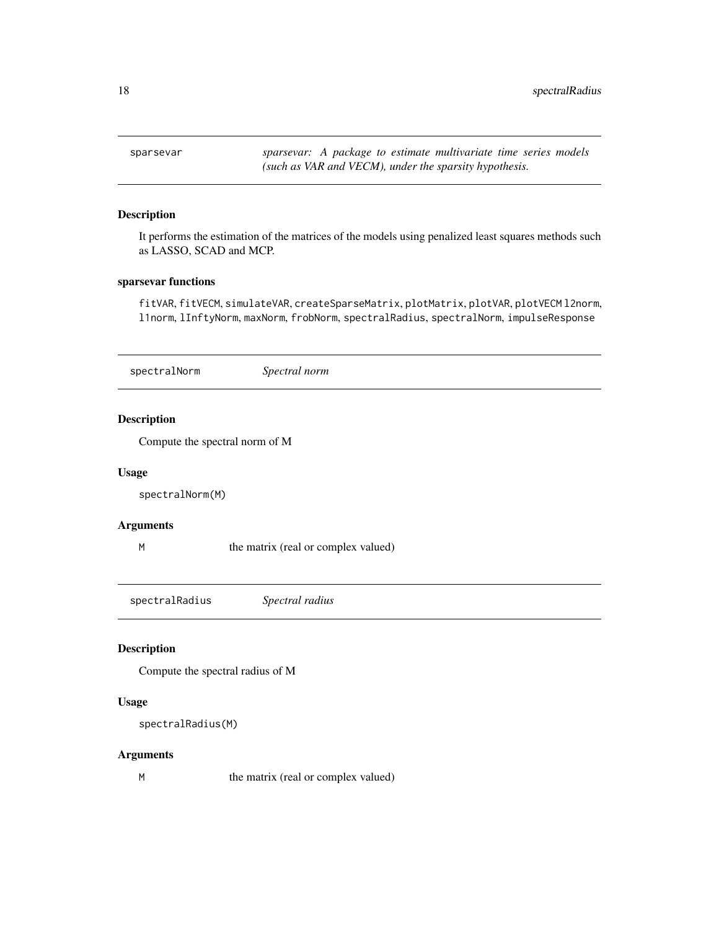<span id="page-17-0"></span>sparsevar *sparsevar: A package to estimate multivariate time series models (such as VAR and VECM), under the sparsity hypothesis.*

#### Description

It performs the estimation of the matrices of the models using penalized least squares methods such as LASSO, SCAD and MCP.

#### sparsevar functions

fitVAR, fitVECM, simulateVAR, createSparseMatrix, plotMatrix, plotVAR, plotVECM l2norm, l1norm, lInftyNorm, maxNorm, frobNorm, spectralRadius, spectralNorm, impulseResponse

| spectralNorm       | Spectral norm                       |  |
|--------------------|-------------------------------------|--|
| <b>Description</b> |                                     |  |
|                    | Compute the spectral norm of M      |  |
| <b>Usage</b>       |                                     |  |
| spectralNorm(M)    |                                     |  |
| <b>Arguments</b>   |                                     |  |
| M                  | the matrix (real or complex valued) |  |

spectralRadius *Spectral radius*

#### Description

Compute the spectral radius of M

#### Usage

```
spectralRadius(M)
```
#### Arguments

M the matrix (real or complex valued)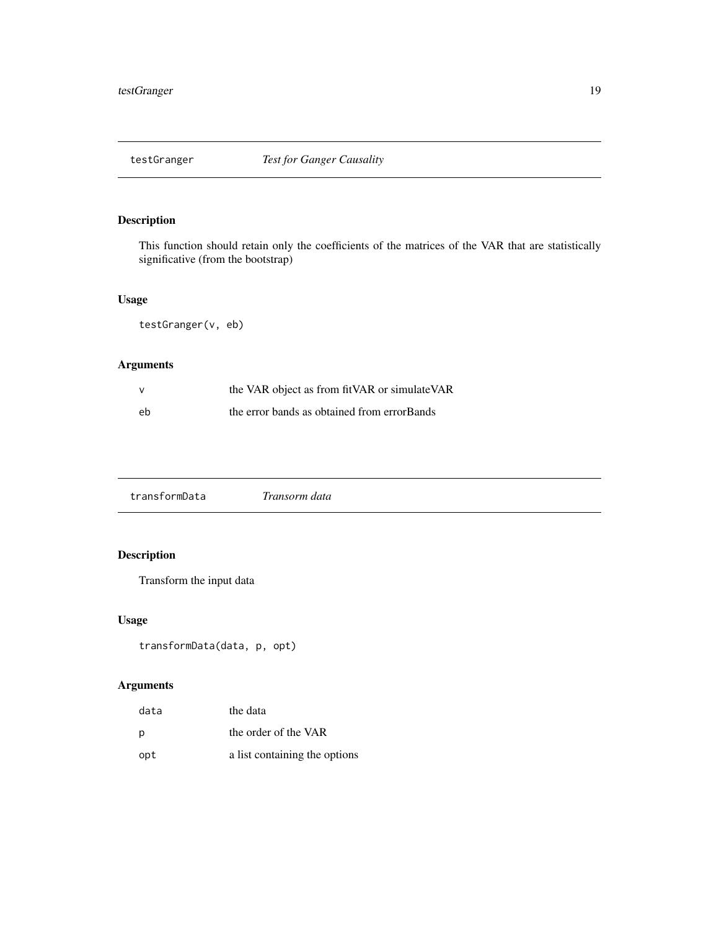<span id="page-18-0"></span>

This function should retain only the coefficients of the matrices of the VAR that are statistically significative (from the bootstrap)

#### Usage

testGranger(v, eb)

## Arguments

|    | the VAR object as from fitVAR or simulateVAR |
|----|----------------------------------------------|
| eb | the error bands as obtained from errorBands  |

transformData *Transorm data*

## Description

Transform the input data

#### Usage

```
transformData(data, p, opt)
```

| data | the data                      |
|------|-------------------------------|
| p    | the order of the VAR          |
| opt  | a list containing the options |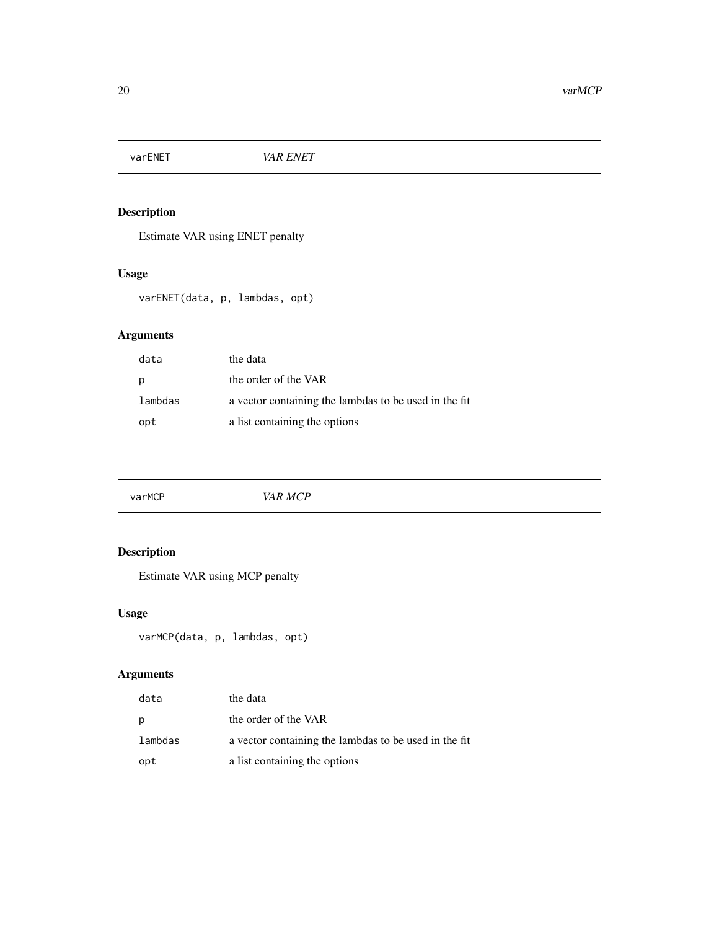<span id="page-19-0"></span>

Estimate VAR using ENET penalty

## Usage

varENET(data, p, lambdas, opt)

## Arguments

| data    | the data                                              |
|---------|-------------------------------------------------------|
| р       | the order of the VAR                                  |
| lambdas | a vector containing the lambdas to be used in the fit |
| opt     | a list containing the options                         |

|  | varMCP | VAR MCP |  |  |  |
|--|--------|---------|--|--|--|
|--|--------|---------|--|--|--|

## Description

Estimate VAR using MCP penalty

## Usage

```
varMCP(data, p, lambdas, opt)
```

| data    | the data                                              |
|---------|-------------------------------------------------------|
| p       | the order of the VAR                                  |
| lambdas | a vector containing the lambdas to be used in the fit |
| opt     | a list containing the options                         |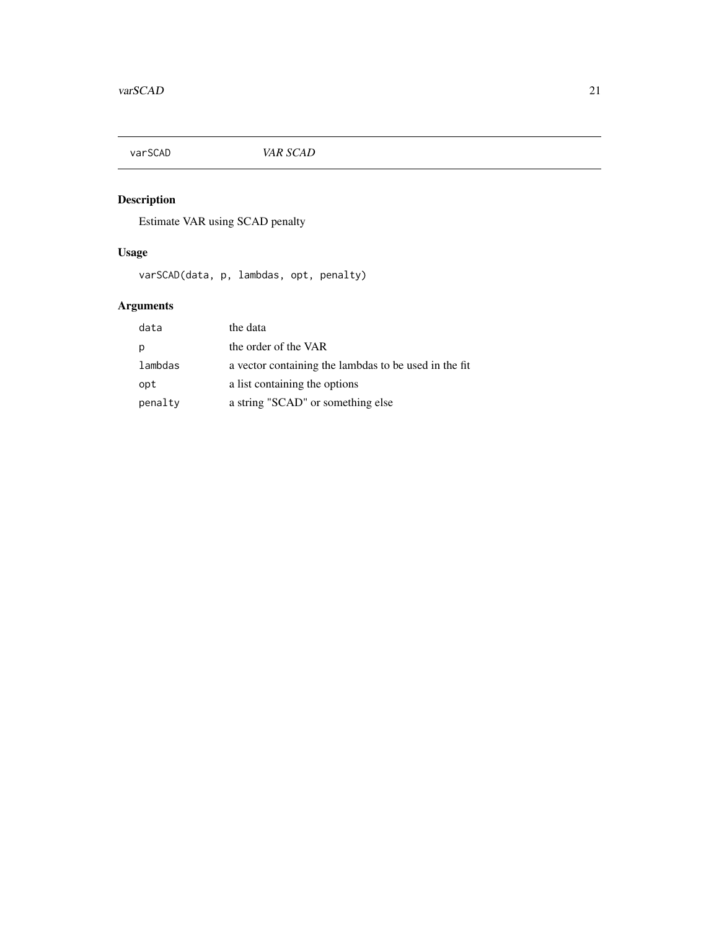<span id="page-20-0"></span>

Estimate VAR using SCAD penalty

## Usage

varSCAD(data, p, lambdas, opt, penalty)

| data    | the data                                              |
|---------|-------------------------------------------------------|
| p       | the order of the VAR                                  |
| lambdas | a vector containing the lambdas to be used in the fit |
| opt     | a list containing the options                         |
| penalty | a string "SCAD" or something else                     |